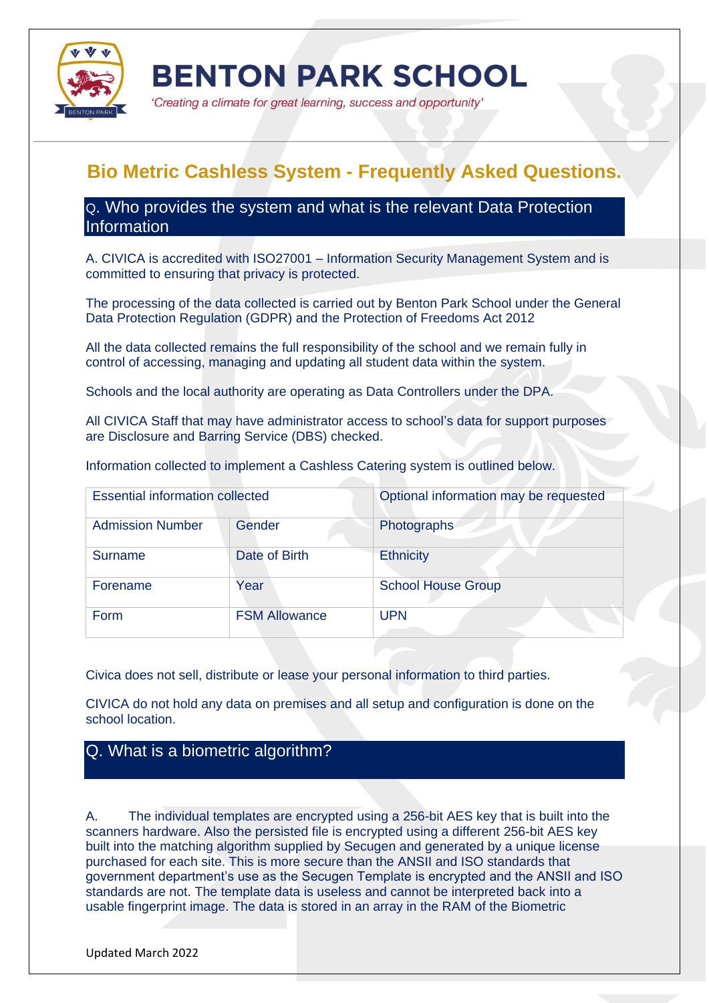

'Creating a climate for great learning, success and opportunity'

# **Bio Metric Cashless System - Frequently Asked Questions.**

Q. Who provides the system and what is the relevant Data Protection **Information** 

A. CIVICA is accredited with ISO27001 – Information Security Management System and is committed to ensuring that privacy is protected.

The processing of the data collected is carried out by Benton Park School under the General Data Protection Regulation (GDPR) and the Protection of Freedoms Act 2012

All the data collected remains the full responsibility of the school and we remain fully in control of accessing, managing and updating all student data within the system.

Schools and the local authority are operating as Data Controllers under the DPA.

All CIVICA Staff that may have administrator access to school's data for support purposes are Disclosure and Barring Service (DBS) checked.

Information collected to implement a Cashless Catering system is outlined below.

| <b>Essential information collected</b> |                      | Optional information may be requested |
|----------------------------------------|----------------------|---------------------------------------|
| <b>Admission Number</b>                | Gender               | Photographs                           |
| <b>Surname</b>                         | Date of Birth        | <b>Ethnicity</b>                      |
| Forename                               | Year                 | <b>School House Group</b>             |
| Form                                   | <b>FSM Allowance</b> | <b>UPN</b>                            |

Civica does not sell, distribute or lease your personal information to third parties.

CIVICA do not hold any data on premises and all setup and configuration is done on the school location.

# Q. What is a biometric algorithm?

A. The individual templates are encrypted using a 256-bit AES key that is built into the scanners hardware. Also the persisted file is encrypted using a different 256-bit AES key built into the matching algorithm supplied by Secugen and generated by a unique license purchased for each site. This is more secure than the ANSII and ISO standards that government department's use as the Secugen Template is encrypted and the ANSII and ISO standards are not. The template data is useless and cannot be interpreted back into a usable fingerprint image. The data is stored in an array in the RAM of the Biometric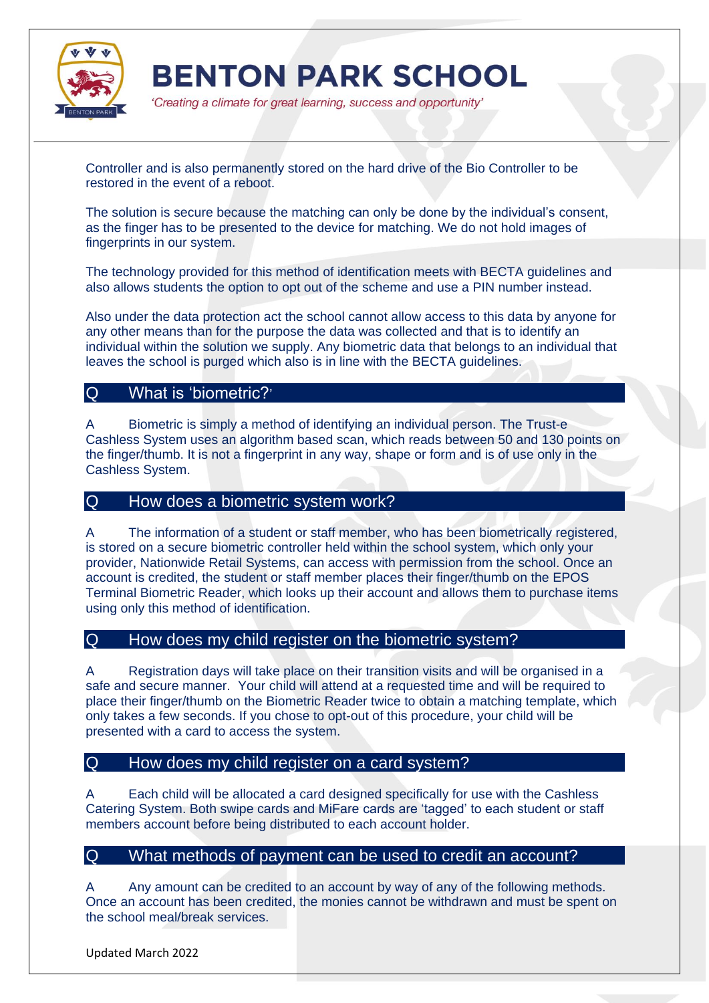

'Creating a climate for great learning, success and opportunity'

Controller and is also permanently stored on the hard drive of the Bio Controller to be restored in the event of a reboot.

The solution is secure because the matching can only be done by the individual's consent, as the finger has to be presented to the device for matching. We do not hold images of fingerprints in our system.

The technology provided for this method of identification meets with BECTA guidelines and also allows students the option to opt out of the scheme and use a PIN number instead.

Also under the data protection act the school cannot allow access to this data by anyone for any other means than for the purpose the data was collected and that is to identify an individual within the solution we supply. Any biometric data that belongs to an individual that leaves the school is purged which also is in line with the BECTA guidelines.

#### Q What is 'biometric?'

A Biometric is simply a method of identifying an individual person. The Trust-e Cashless System uses an algorithm based scan, which reads between 50 and 130 points on the finger/thumb. It is not a fingerprint in any way, shape or form and is of use only in the Cashless System.

#### Q How does a biometric system work?

A The information of a student or staff member, who has been biometrically registered, is stored on a secure biometric controller held within the school system, which only your provider, Nationwide Retail Systems, can access with permission from the school. Once an account is credited, the student or staff member places their finger/thumb on the EPOS Terminal Biometric Reader, which looks up their account and allows them to purchase items using only this method of identification.

#### Q How does my child register on the biometric system?

A Registration days will take place on their transition visits and will be organised in a safe and secure manner. Your child will attend at a requested time and will be required to place their finger/thumb on the Biometric Reader twice to obtain a matching template, which only takes a few seconds. If you chose to opt-out of this procedure, your child will be presented with a card to access the system.

#### Q How does my child register on a card system?

A Each child will be allocated a card designed specifically for use with the Cashless Catering System. Both swipe cards and MiFare cards are 'tagged' to each student or staff members account before being distributed to each account holder.

#### Q What methods of payment can be used to credit an account?

A Any amount can be credited to an account by way of any of the following methods. Once an account has been credited, the monies cannot be withdrawn and must be spent on the school meal/break services.

Updated March 2022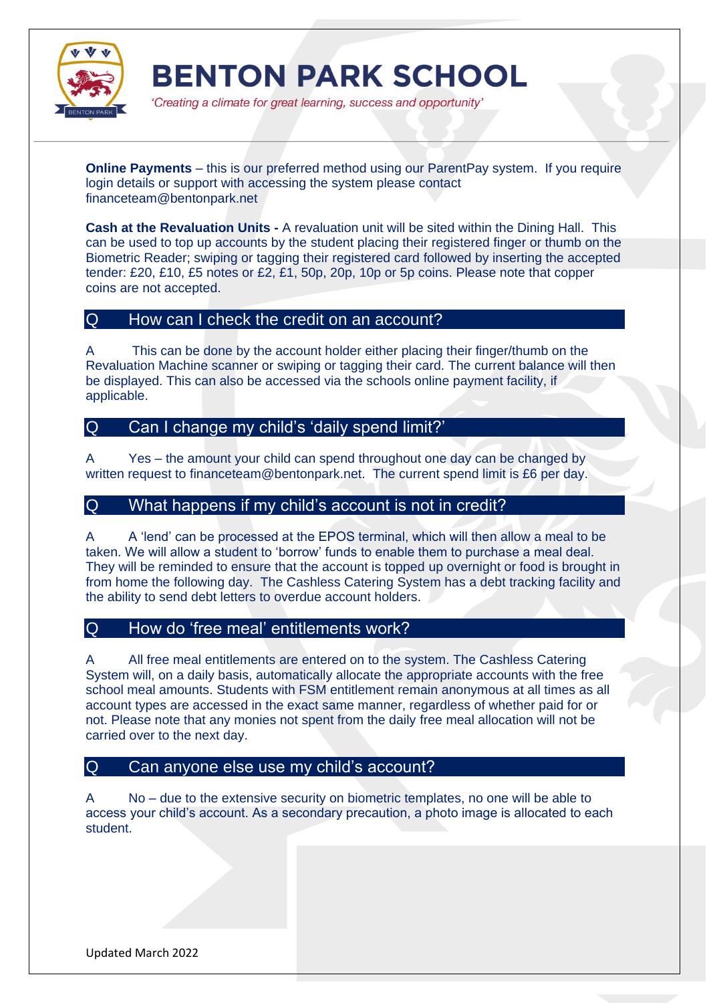

'Creating a climate for great learning, success and opportunity'

**Online Payments** – this is our preferred method using our ParentPay system. If you require login details or support with accessing the system please contact financeteam@bentonpark.net

**Cash at the Revaluation Units -** A revaluation unit will be sited within the Dining Hall. This can be used to top up accounts by the student placing their registered finger or thumb on the Biometric Reader; swiping or tagging their registered card followed by inserting the accepted tender: £20, £10, £5 notes or £2, £1, 50p, 20p, 10p or 5p coins. Please note that copper coins are not accepted.

### Q How can I check the credit on an account?

A This can be done by the account holder either placing their finger/thumb on the Revaluation Machine scanner or swiping or tagging their card. The current balance will then be displayed. This can also be accessed via the schools online payment facility, if applicable.

# Q Can I change my child's 'daily spend limit?'

A Yes – the amount your child can spend throughout one day can be changed by written request to financeteam@bentonpark.net. The current spend limit is £6 per day.

### Q What happens if my child's account is not in credit?

A A 'lend' can be processed at the EPOS terminal, which will then allow a meal to be taken. We will allow a student to 'borrow' funds to enable them to purchase a meal deal. They will be reminded to ensure that the account is topped up overnight or food is brought in from home the following day. The Cashless Catering System has a debt tracking facility and the ability to send debt letters to overdue account holders.

# Q How do 'free meal' entitlements work?

A All free meal entitlements are entered on to the system. The Cashless Catering System will, on a daily basis, automatically allocate the appropriate accounts with the free school meal amounts. Students with FSM entitlement remain anonymous at all times as all account types are accessed in the exact same manner, regardless of whether paid for or not. Please note that any monies not spent from the daily free meal allocation will not be carried over to the next day.

#### Q Can anyone else use my child's account?

A No – due to the extensive security on biometric templates, no one will be able to access your child's account. As a secondary precaution, a photo image is allocated to each student.